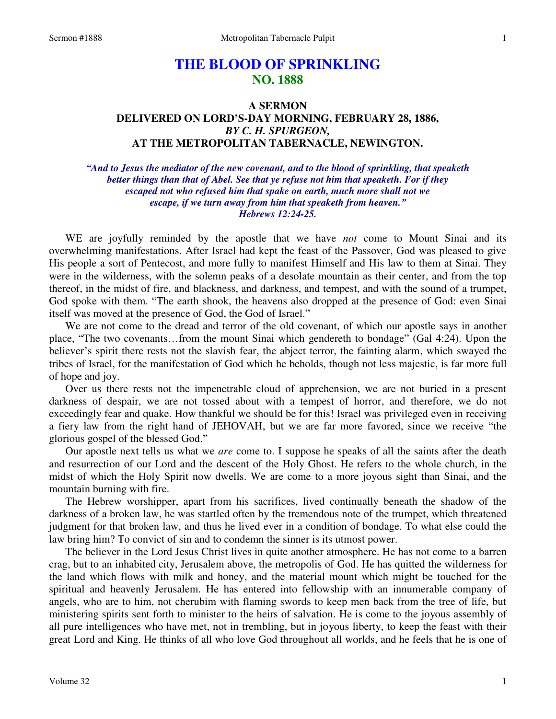# **THE BLOOD OF SPRINKLING NO. 1888**

## **A SERMON DELIVERED ON LORD'S-DAY MORNING, FEBRUARY 28, 1886,**  *BY C. H. SPURGEON,*  **AT THE METROPOLITAN TABERNACLE, NEWINGTON.**

*"And to Jesus the mediator of the new covenant, and to the blood of sprinkling, that speaketh better things than that of Abel. See that ye refuse not him that speaketh. For if they escaped not who refused him that spake on earth, much more shall not we escape, if we turn away from him that speaketh from heaven." Hebrews 12:24-25.* 

WE are joyfully reminded by the apostle that we have *not* come to Mount Sinai and its overwhelming manifestations. After Israel had kept the feast of the Passover, God was pleased to give His people a sort of Pentecost, and more fully to manifest Himself and His law to them at Sinai. They were in the wilderness, with the solemn peaks of a desolate mountain as their center, and from the top thereof, in the midst of fire, and blackness, and darkness, and tempest, and with the sound of a trumpet, God spoke with them. "The earth shook, the heavens also dropped at the presence of God: even Sinai itself was moved at the presence of God, the God of Israel."

 We are not come to the dread and terror of the old covenant, of which our apostle says in another place, "The two covenants…from the mount Sinai which gendereth to bondage" (Gal 4:24). Upon the believer's spirit there rests not the slavish fear, the abject terror, the fainting alarm, which swayed the tribes of Israel, for the manifestation of God which he beholds, though not less majestic, is far more full of hope and joy.

 Over us there rests not the impenetrable cloud of apprehension, we are not buried in a present darkness of despair, we are not tossed about with a tempest of horror, and therefore, we do not exceedingly fear and quake. How thankful we should be for this! Israel was privileged even in receiving a fiery law from the right hand of JEHOVAH, but we are far more favored, since we receive "the glorious gospel of the blessed God."

 Our apostle next tells us what we *are* come to. I suppose he speaks of all the saints after the death and resurrection of our Lord and the descent of the Holy Ghost. He refers to the whole church, in the midst of which the Holy Spirit now dwells. We are come to a more joyous sight than Sinai, and the mountain burning with fire.

 The Hebrew worshipper, apart from his sacrifices, lived continually beneath the shadow of the darkness of a broken law, he was startled often by the tremendous note of the trumpet, which threatened judgment for that broken law, and thus he lived ever in a condition of bondage. To what else could the law bring him? To convict of sin and to condemn the sinner is its utmost power.

 The believer in the Lord Jesus Christ lives in quite another atmosphere. He has not come to a barren crag, but to an inhabited city, Jerusalem above, the metropolis of God. He has quitted the wilderness for the land which flows with milk and honey, and the material mount which might be touched for the spiritual and heavenly Jerusalem. He has entered into fellowship with an innumerable company of angels, who are to him, not cherubim with flaming swords to keep men back from the tree of life, but ministering spirits sent forth to minister to the heirs of salvation. He is come to the joyous assembly of all pure intelligences who have met, not in trembling, but in joyous liberty, to keep the feast with their great Lord and King. He thinks of all who love God throughout all worlds, and he feels that he is one of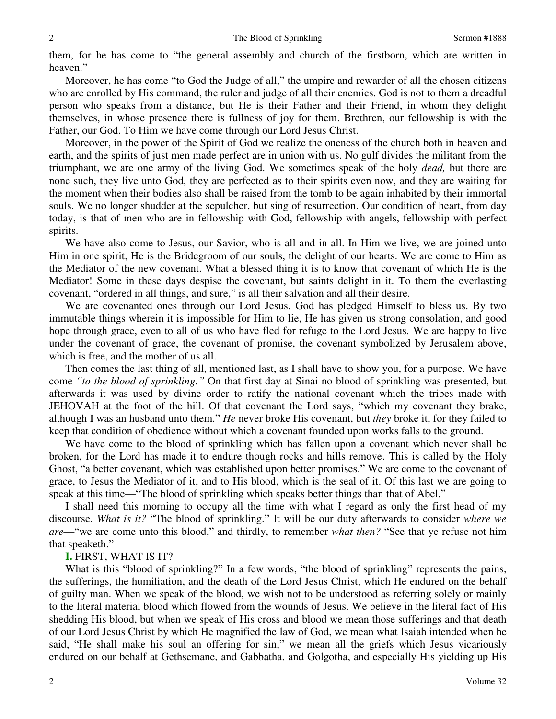them, for he has come to "the general assembly and church of the firstborn, which are written in heaven."

 Moreover, he has come "to God the Judge of all," the umpire and rewarder of all the chosen citizens who are enrolled by His command, the ruler and judge of all their enemies. God is not to them a dreadful person who speaks from a distance, but He is their Father and their Friend, in whom they delight themselves, in whose presence there is fullness of joy for them. Brethren, our fellowship is with the Father, our God. To Him we have come through our Lord Jesus Christ.

 Moreover, in the power of the Spirit of God we realize the oneness of the church both in heaven and earth, and the spirits of just men made perfect are in union with us. No gulf divides the militant from the triumphant, we are one army of the living God. We sometimes speak of the holy *dead,* but there are none such, they live unto God, they are perfected as to their spirits even now, and they are waiting for the moment when their bodies also shall be raised from the tomb to be again inhabited by their immortal souls. We no longer shudder at the sepulcher, but sing of resurrection. Our condition of heart, from day today, is that of men who are in fellowship with God, fellowship with angels, fellowship with perfect spirits.

 We have also come to Jesus, our Savior, who is all and in all. In Him we live, we are joined unto Him in one spirit, He is the Bridegroom of our souls, the delight of our hearts. We are come to Him as the Mediator of the new covenant. What a blessed thing it is to know that covenant of which He is the Mediator! Some in these days despise the covenant, but saints delight in it. To them the everlasting covenant, "ordered in all things, and sure," is all their salvation and all their desire.

 We are covenanted ones through our Lord Jesus. God has pledged Himself to bless us. By two immutable things wherein it is impossible for Him to lie, He has given us strong consolation, and good hope through grace, even to all of us who have fled for refuge to the Lord Jesus. We are happy to live under the covenant of grace, the covenant of promise, the covenant symbolized by Jerusalem above, which is free, and the mother of us all.

 Then comes the last thing of all, mentioned last, as I shall have to show you, for a purpose. We have come *"to the blood of sprinkling."* On that first day at Sinai no blood of sprinkling was presented, but afterwards it was used by divine order to ratify the national covenant which the tribes made with JEHOVAH at the foot of the hill. Of that covenant the Lord says, "which my covenant they brake, although I was an husband unto them." *He* never broke His covenant, but *they* broke it, for they failed to keep that condition of obedience without which a covenant founded upon works falls to the ground.

 We have come to the blood of sprinkling which has fallen upon a covenant which never shall be broken, for the Lord has made it to endure though rocks and hills remove. This is called by the Holy Ghost, "a better covenant, which was established upon better promises." We are come to the covenant of grace, to Jesus the Mediator of it, and to His blood, which is the seal of it. Of this last we are going to speak at this time—"The blood of sprinkling which speaks better things than that of Abel."

 I shall need this morning to occupy all the time with what I regard as only the first head of my discourse. *What is it?* "The blood of sprinkling." It will be our duty afterwards to consider *where we are*—"we are come unto this blood," and thirdly, to remember *what then?* "See that ye refuse not him that speaketh."

## **I.** FIRST, WHAT IS IT?

What is this "blood of sprinkling?" In a few words, "the blood of sprinkling" represents the pains, the sufferings, the humiliation, and the death of the Lord Jesus Christ, which He endured on the behalf of guilty man. When we speak of the blood, we wish not to be understood as referring solely or mainly to the literal material blood which flowed from the wounds of Jesus. We believe in the literal fact of His shedding His blood, but when we speak of His cross and blood we mean those sufferings and that death of our Lord Jesus Christ by which He magnified the law of God, we mean what Isaiah intended when he said, "He shall make his soul an offering for sin," we mean all the griefs which Jesus vicariously endured on our behalf at Gethsemane, and Gabbatha, and Golgotha, and especially His yielding up His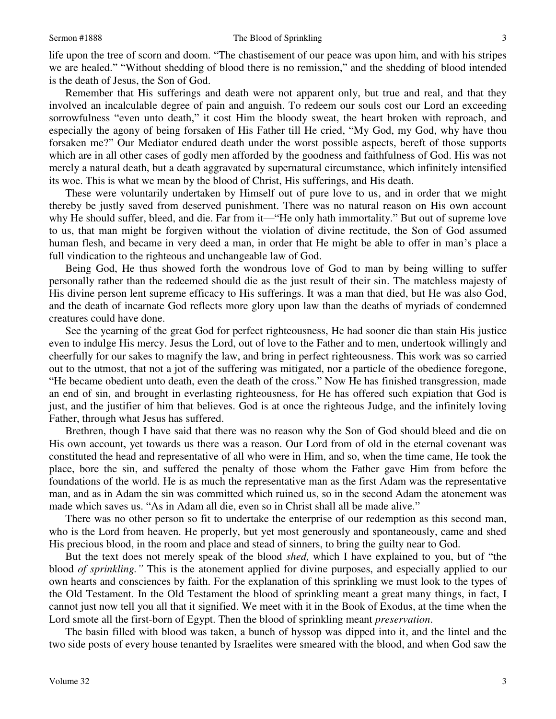life upon the tree of scorn and doom. "The chastisement of our peace was upon him, and with his stripes we are healed." "Without shedding of blood there is no remission," and the shedding of blood intended is the death of Jesus, the Son of God.

 Remember that His sufferings and death were not apparent only, but true and real, and that they involved an incalculable degree of pain and anguish. To redeem our souls cost our Lord an exceeding sorrowfulness "even unto death," it cost Him the bloody sweat, the heart broken with reproach, and especially the agony of being forsaken of His Father till He cried, "My God, my God, why have thou forsaken me?" Our Mediator endured death under the worst possible aspects, bereft of those supports which are in all other cases of godly men afforded by the goodness and faithfulness of God. His was not merely a natural death, but a death aggravated by supernatural circumstance, which infinitely intensified its woe. This is what we mean by the blood of Christ, His sufferings, and His death.

 These were voluntarily undertaken by Himself out of pure love to us, and in order that we might thereby be justly saved from deserved punishment. There was no natural reason on His own account why He should suffer, bleed, and die. Far from it—"He only hath immortality." But out of supreme love to us, that man might be forgiven without the violation of divine rectitude, the Son of God assumed human flesh, and became in very deed a man, in order that He might be able to offer in man's place a full vindication to the righteous and unchangeable law of God.

 Being God, He thus showed forth the wondrous love of God to man by being willing to suffer personally rather than the redeemed should die as the just result of their sin. The matchless majesty of His divine person lent supreme efficacy to His sufferings. It was a man that died, but He was also God, and the death of incarnate God reflects more glory upon law than the deaths of myriads of condemned creatures could have done.

 See the yearning of the great God for perfect righteousness, He had sooner die than stain His justice even to indulge His mercy. Jesus the Lord, out of love to the Father and to men, undertook willingly and cheerfully for our sakes to magnify the law, and bring in perfect righteousness. This work was so carried out to the utmost, that not a jot of the suffering was mitigated, nor a particle of the obedience foregone, "He became obedient unto death, even the death of the cross." Now He has finished transgression, made an end of sin, and brought in everlasting righteousness, for He has offered such expiation that God is just, and the justifier of him that believes. God is at once the righteous Judge, and the infinitely loving Father, through what Jesus has suffered.

 Brethren, though I have said that there was no reason why the Son of God should bleed and die on His own account, yet towards us there was a reason. Our Lord from of old in the eternal covenant was constituted the head and representative of all who were in Him, and so, when the time came, He took the place, bore the sin, and suffered the penalty of those whom the Father gave Him from before the foundations of the world. He is as much the representative man as the first Adam was the representative man, and as in Adam the sin was committed which ruined us, so in the second Adam the atonement was made which saves us. "As in Adam all die, even so in Christ shall all be made alive."

 There was no other person so fit to undertake the enterprise of our redemption as this second man, who is the Lord from heaven. He properly, but yet most generously and spontaneously, came and shed His precious blood, in the room and place and stead of sinners, to bring the guilty near to God.

 But the text does not merely speak of the blood *shed,* which I have explained to you, but of "the blood *of sprinkling."* This is the atonement applied for divine purposes, and especially applied to our own hearts and consciences by faith. For the explanation of this sprinkling we must look to the types of the Old Testament. In the Old Testament the blood of sprinkling meant a great many things, in fact, I cannot just now tell you all that it signified. We meet with it in the Book of Exodus, at the time when the Lord smote all the first-born of Egypt. Then the blood of sprinkling meant *preservation*.

 The basin filled with blood was taken, a bunch of hyssop was dipped into it, and the lintel and the two side posts of every house tenanted by Israelites were smeared with the blood, and when God saw the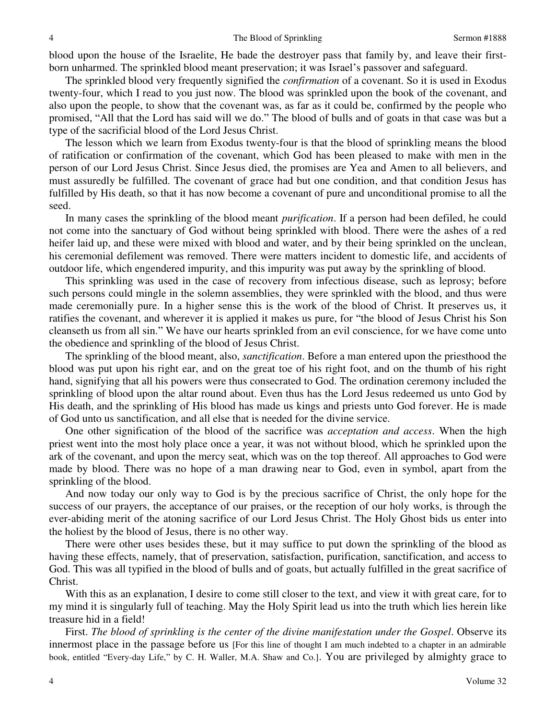blood upon the house of the Israelite, He bade the destroyer pass that family by, and leave their firstborn unharmed. The sprinkled blood meant preservation; it was Israel's passover and safeguard.

 The sprinkled blood very frequently signified the *confirmation* of a covenant. So it is used in Exodus twenty-four, which I read to you just now. The blood was sprinkled upon the book of the covenant, and also upon the people, to show that the covenant was, as far as it could be, confirmed by the people who promised, "All that the Lord has said will we do." The blood of bulls and of goats in that case was but a type of the sacrificial blood of the Lord Jesus Christ.

 The lesson which we learn from Exodus twenty-four is that the blood of sprinkling means the blood of ratification or confirmation of the covenant, which God has been pleased to make with men in the person of our Lord Jesus Christ. Since Jesus died, the promises are Yea and Amen to all believers, and must assuredly be fulfilled. The covenant of grace had but one condition, and that condition Jesus has fulfilled by His death, so that it has now become a covenant of pure and unconditional promise to all the seed.

 In many cases the sprinkling of the blood meant *purification*. If a person had been defiled, he could not come into the sanctuary of God without being sprinkled with blood. There were the ashes of a red heifer laid up, and these were mixed with blood and water, and by their being sprinkled on the unclean, his ceremonial defilement was removed. There were matters incident to domestic life, and accidents of outdoor life, which engendered impurity, and this impurity was put away by the sprinkling of blood.

 This sprinkling was used in the case of recovery from infectious disease, such as leprosy; before such persons could mingle in the solemn assemblies, they were sprinkled with the blood, and thus were made ceremonially pure. In a higher sense this is the work of the blood of Christ. It preserves us, it ratifies the covenant, and wherever it is applied it makes us pure, for "the blood of Jesus Christ his Son cleanseth us from all sin." We have our hearts sprinkled from an evil conscience, for we have come unto the obedience and sprinkling of the blood of Jesus Christ.

 The sprinkling of the blood meant, also, *sanctification*. Before a man entered upon the priesthood the blood was put upon his right ear, and on the great toe of his right foot, and on the thumb of his right hand, signifying that all his powers were thus consecrated to God. The ordination ceremony included the sprinkling of blood upon the altar round about. Even thus has the Lord Jesus redeemed us unto God by His death, and the sprinkling of His blood has made us kings and priests unto God forever. He is made of God unto us sanctification, and all else that is needed for the divine service.

 One other signification of the blood of the sacrifice was *acceptation and access*. When the high priest went into the most holy place once a year, it was not without blood, which he sprinkled upon the ark of the covenant, and upon the mercy seat, which was on the top thereof. All approaches to God were made by blood. There was no hope of a man drawing near to God, even in symbol, apart from the sprinkling of the blood.

 And now today our only way to God is by the precious sacrifice of Christ, the only hope for the success of our prayers, the acceptance of our praises, or the reception of our holy works, is through the ever-abiding merit of the atoning sacrifice of our Lord Jesus Christ. The Holy Ghost bids us enter into the holiest by the blood of Jesus, there is no other way.

 There were other uses besides these, but it may suffice to put down the sprinkling of the blood as having these effects, namely, that of preservation, satisfaction, purification, sanctification, and access to God. This was all typified in the blood of bulls and of goats, but actually fulfilled in the great sacrifice of Christ.

 With this as an explanation, I desire to come still closer to the text, and view it with great care, for to my mind it is singularly full of teaching. May the Holy Spirit lead us into the truth which lies herein like treasure hid in a field!

 First. *The blood of sprinkling is the center of the divine manifestation under the Gospel*. Observe its innermost place in the passage before us [For this line of thought I am much indebted to a chapter in an admirable book, entitled "Every-day Life," by C. H. Waller, M.A. Shaw and Co.]. You are privileged by almighty grace to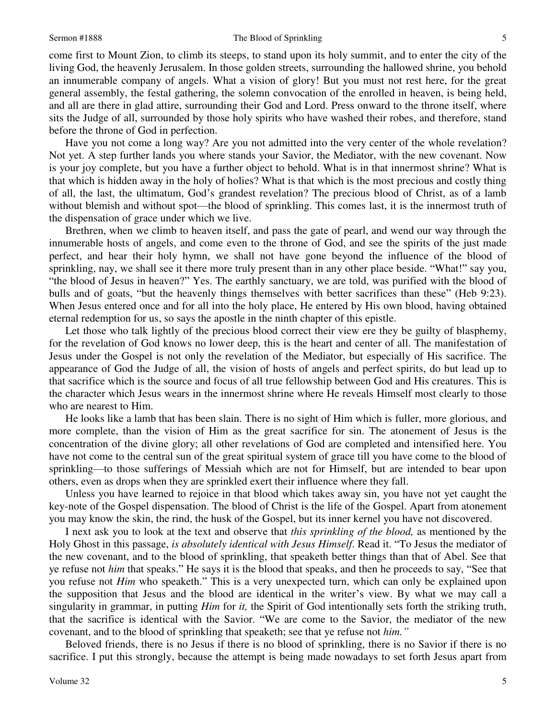### Sermon #1888 The Blood of Sprinkling 5

come first to Mount Zion, to climb its steeps, to stand upon its holy summit, and to enter the city of the living God, the heavenly Jerusalem. In those golden streets, surrounding the hallowed shrine, you behold an innumerable company of angels. What a vision of glory! But you must not rest here, for the great general assembly, the festal gathering, the solemn convocation of the enrolled in heaven, is being held, and all are there in glad attire, surrounding their God and Lord. Press onward to the throne itself, where sits the Judge of all, surrounded by those holy spirits who have washed their robes, and therefore, stand before the throne of God in perfection.

 Have you not come a long way? Are you not admitted into the very center of the whole revelation? Not yet. A step further lands you where stands your Savior, the Mediator, with the new covenant. Now is your joy complete, but you have a further object to behold. What is in that innermost shrine? What is that which is hidden away in the holy of holies? What is that which is the most precious and costly thing of all, the last, the ultimatum, God's grandest revelation? The precious blood of Christ, as of a lamb without blemish and without spot—the blood of sprinkling. This comes last, it is the innermost truth of the dispensation of grace under which we live.

 Brethren, when we climb to heaven itself, and pass the gate of pearl, and wend our way through the innumerable hosts of angels, and come even to the throne of God, and see the spirits of the just made perfect, and hear their holy hymn, we shall not have gone beyond the influence of the blood of sprinkling, nay, we shall see it there more truly present than in any other place beside. "What!" say you, "the blood of Jesus in heaven?" Yes. The earthly sanctuary, we are told, was purified with the blood of bulls and of goats, "but the heavenly things themselves with better sacrifices than these" (Heb 9:23). When Jesus entered once and for all into the holy place, He entered by His own blood, having obtained eternal redemption for us, so says the apostle in the ninth chapter of this epistle.

 Let those who talk lightly of the precious blood correct their view ere they be guilty of blasphemy, for the revelation of God knows no lower deep, this is the heart and center of all. The manifestation of Jesus under the Gospel is not only the revelation of the Mediator, but especially of His sacrifice. The appearance of God the Judge of all, the vision of hosts of angels and perfect spirits, do but lead up to that sacrifice which is the source and focus of all true fellowship between God and His creatures. This is the character which Jesus wears in the innermost shrine where He reveals Himself most clearly to those who are nearest to Him.

 He looks like a lamb that has been slain. There is no sight of Him which is fuller, more glorious, and more complete, than the vision of Him as the great sacrifice for sin. The atonement of Jesus is the concentration of the divine glory; all other revelations of God are completed and intensified here. You have not come to the central sun of the great spiritual system of grace till you have come to the blood of sprinkling—to those sufferings of Messiah which are not for Himself, but are intended to bear upon others, even as drops when they are sprinkled exert their influence where they fall.

 Unless you have learned to rejoice in that blood which takes away sin, you have not yet caught the key-note of the Gospel dispensation. The blood of Christ is the life of the Gospel. Apart from atonement you may know the skin, the rind, the husk of the Gospel, but its inner kernel you have not discovered.

 I next ask you to look at the text and observe that *this sprinkling of the blood,* as mentioned by the Holy Ghost in this passage, *is absolutely identical with Jesus Himself*. Read it. "To Jesus the mediator of the new covenant, and to the blood of sprinkling, that speaketh better things than that of Abel. See that ye refuse not *him* that speaks." He says it is the blood that speaks, and then he proceeds to say, "See that you refuse not *Him* who speaketh." This is a very unexpected turn, which can only be explained upon the supposition that Jesus and the blood are identical in the writer's view. By what we may call a singularity in grammar, in putting *Him* for *it,* the Spirit of God intentionally sets forth the striking truth, that the sacrifice is identical with the Savior. "We are come to the Savior, the mediator of the new covenant, and to the blood of sprinkling that speaketh; see that ye refuse not *him."*

 Beloved friends, there is no Jesus if there is no blood of sprinkling, there is no Savior if there is no sacrifice. I put this strongly, because the attempt is being made nowadays to set forth Jesus apart from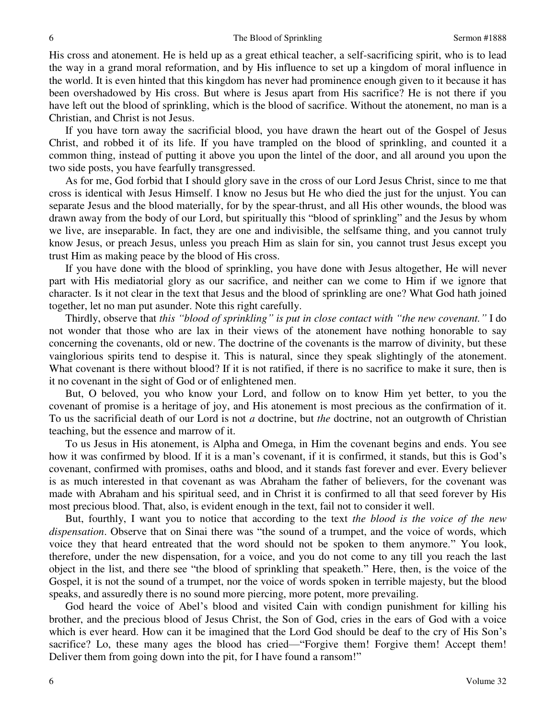His cross and atonement. He is held up as a great ethical teacher, a self-sacrificing spirit, who is to lead the way in a grand moral reformation, and by His influence to set up a kingdom of moral influence in the world. It is even hinted that this kingdom has never had prominence enough given to it because it has been overshadowed by His cross. But where is Jesus apart from His sacrifice? He is not there if you have left out the blood of sprinkling, which is the blood of sacrifice. Without the atonement, no man is a Christian, and Christ is not Jesus.

 If you have torn away the sacrificial blood, you have drawn the heart out of the Gospel of Jesus Christ, and robbed it of its life. If you have trampled on the blood of sprinkling, and counted it a common thing, instead of putting it above you upon the lintel of the door, and all around you upon the two side posts, you have fearfully transgressed.

 As for me, God forbid that I should glory save in the cross of our Lord Jesus Christ, since to me that cross is identical with Jesus Himself. I know no Jesus but He who died the just for the unjust. You can separate Jesus and the blood materially, for by the spear-thrust, and all His other wounds, the blood was drawn away from the body of our Lord, but spiritually this "blood of sprinkling" and the Jesus by whom we live, are inseparable. In fact, they are one and indivisible, the selfsame thing, and you cannot truly know Jesus, or preach Jesus, unless you preach Him as slain for sin, you cannot trust Jesus except you trust Him as making peace by the blood of His cross.

 If you have done with the blood of sprinkling, you have done with Jesus altogether, He will never part with His mediatorial glory as our sacrifice, and neither can we come to Him if we ignore that character. Is it not clear in the text that Jesus and the blood of sprinkling are one? What God hath joined together, let no man put asunder. Note this right carefully.

 Thirdly, observe that *this "blood of sprinkling" is put in close contact with "the new covenant."* I do not wonder that those who are lax in their views of the atonement have nothing honorable to say concerning the covenants, old or new. The doctrine of the covenants is the marrow of divinity, but these vainglorious spirits tend to despise it. This is natural, since they speak slightingly of the atonement. What covenant is there without blood? If it is not ratified, if there is no sacrifice to make it sure, then is it no covenant in the sight of God or of enlightened men.

 But, O beloved, you who know your Lord, and follow on to know Him yet better, to you the covenant of promise is a heritage of joy, and His atonement is most precious as the confirmation of it. To us the sacrificial death of our Lord is not *a* doctrine, but *the* doctrine, not an outgrowth of Christian teaching, but the essence and marrow of it.

 To us Jesus in His atonement, is Alpha and Omega, in Him the covenant begins and ends. You see how it was confirmed by blood. If it is a man's covenant, if it is confirmed, it stands, but this is God's covenant, confirmed with promises, oaths and blood, and it stands fast forever and ever. Every believer is as much interested in that covenant as was Abraham the father of believers, for the covenant was made with Abraham and his spiritual seed, and in Christ it is confirmed to all that seed forever by His most precious blood. That, also, is evident enough in the text, fail not to consider it well.

 But, fourthly, I want you to notice that according to the text *the blood is the voice of the new dispensation*. Observe that on Sinai there was "the sound of a trumpet, and the voice of words, which voice they that heard entreated that the word should not be spoken to them anymore." You look, therefore, under the new dispensation, for a voice, and you do not come to any till you reach the last object in the list, and there see "the blood of sprinkling that speaketh." Here, then, is the voice of the Gospel, it is not the sound of a trumpet, nor the voice of words spoken in terrible majesty, but the blood speaks, and assuredly there is no sound more piercing, more potent, more prevailing.

 God heard the voice of Abel's blood and visited Cain with condign punishment for killing his brother, and the precious blood of Jesus Christ, the Son of God, cries in the ears of God with a voice which is ever heard. How can it be imagined that the Lord God should be deaf to the cry of His Son's sacrifice? Lo, these many ages the blood has cried—"Forgive them! Forgive them! Accept them! Deliver them from going down into the pit, for I have found a ransom!"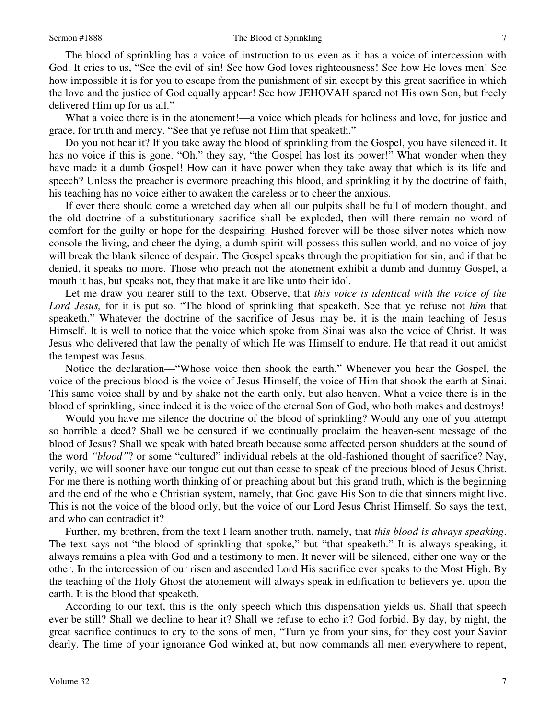### Sermon #1888 The Blood of Sprinkling 7

 The blood of sprinkling has a voice of instruction to us even as it has a voice of intercession with God. It cries to us, "See the evil of sin! See how God loves righteousness! See how He loves men! See how impossible it is for you to escape from the punishment of sin except by this great sacrifice in which the love and the justice of God equally appear! See how JEHOVAH spared not His own Son, but freely delivered Him up for us all."

What a voice there is in the atonement!—a voice which pleads for holiness and love, for justice and grace, for truth and mercy. "See that ye refuse not Him that speaketh."

 Do you not hear it? If you take away the blood of sprinkling from the Gospel, you have silenced it. It has no voice if this is gone. "Oh," they say, "the Gospel has lost its power!" What wonder when they have made it a dumb Gospel! How can it have power when they take away that which is its life and speech? Unless the preacher is evermore preaching this blood, and sprinkling it by the doctrine of faith, his teaching has no voice either to awaken the careless or to cheer the anxious.

 If ever there should come a wretched day when all our pulpits shall be full of modern thought, and the old doctrine of a substitutionary sacrifice shall be exploded, then will there remain no word of comfort for the guilty or hope for the despairing. Hushed forever will be those silver notes which now console the living, and cheer the dying, a dumb spirit will possess this sullen world, and no voice of joy will break the blank silence of despair. The Gospel speaks through the propitiation for sin, and if that be denied, it speaks no more. Those who preach not the atonement exhibit a dumb and dummy Gospel, a mouth it has, but speaks not, they that make it are like unto their idol.

 Let me draw you nearer still to the text. Observe, that *this voice is identical with the voice of the Lord Jesus,* for it is put so. "The blood of sprinkling that speaketh. See that ye refuse not *him* that speaketh." Whatever the doctrine of the sacrifice of Jesus may be, it is the main teaching of Jesus Himself. It is well to notice that the voice which spoke from Sinai was also the voice of Christ. It was Jesus who delivered that law the penalty of which He was Himself to endure. He that read it out amidst the tempest was Jesus.

 Notice the declaration—"Whose voice then shook the earth." Whenever you hear the Gospel, the voice of the precious blood is the voice of Jesus Himself, the voice of Him that shook the earth at Sinai. This same voice shall by and by shake not the earth only, but also heaven. What a voice there is in the blood of sprinkling, since indeed it is the voice of the eternal Son of God, who both makes and destroys!

Would you have me silence the doctrine of the blood of sprinkling? Would any one of you attempt so horrible a deed? Shall we be censured if we continually proclaim the heaven-sent message of the blood of Jesus? Shall we speak with bated breath because some affected person shudders at the sound of the word *"blood"*? or some "cultured" individual rebels at the old-fashioned thought of sacrifice? Nay, verily, we will sooner have our tongue cut out than cease to speak of the precious blood of Jesus Christ. For me there is nothing worth thinking of or preaching about but this grand truth, which is the beginning and the end of the whole Christian system, namely, that God gave His Son to die that sinners might live. This is not the voice of the blood only, but the voice of our Lord Jesus Christ Himself. So says the text, and who can contradict it?

 Further, my brethren, from the text I learn another truth, namely, that *this blood is always speaking*. The text says not "the blood of sprinkling that spoke," but "that speaketh." It is always speaking, it always remains a plea with God and a testimony to men. It never will be silenced, either one way or the other. In the intercession of our risen and ascended Lord His sacrifice ever speaks to the Most High. By the teaching of the Holy Ghost the atonement will always speak in edification to believers yet upon the earth. It is the blood that speaketh.

 According to our text, this is the only speech which this dispensation yields us. Shall that speech ever be still? Shall we decline to hear it? Shall we refuse to echo it? God forbid. By day, by night, the great sacrifice continues to cry to the sons of men, "Turn ye from your sins, for they cost your Savior dearly. The time of your ignorance God winked at, but now commands all men everywhere to repent,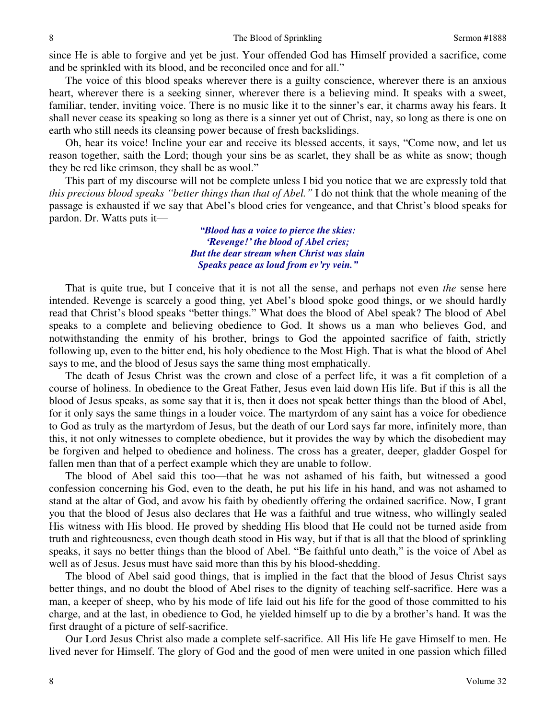since He is able to forgive and yet be just. Your offended God has Himself provided a sacrifice, come and be sprinkled with its blood, and be reconciled once and for all."

 The voice of this blood speaks wherever there is a guilty conscience, wherever there is an anxious heart, wherever there is a seeking sinner, wherever there is a believing mind. It speaks with a sweet, familiar, tender, inviting voice. There is no music like it to the sinner's ear, it charms away his fears. It shall never cease its speaking so long as there is a sinner yet out of Christ, nay, so long as there is one on earth who still needs its cleansing power because of fresh backslidings.

 Oh, hear its voice! Incline your ear and receive its blessed accents, it says, "Come now, and let us reason together, saith the Lord; though your sins be as scarlet, they shall be as white as snow; though they be red like crimson, they shall be as wool."

 This part of my discourse will not be complete unless I bid you notice that we are expressly told that *this precious blood speaks "better things than that of Abel."* I do not think that the whole meaning of the passage is exhausted if we say that Abel's blood cries for vengeance, and that Christ's blood speaks for pardon. Dr. Watts puts it—

> *"Blood has a voice to pierce the skies: 'Revenge!' the blood of Abel cries; But the dear stream when Christ was slain Speaks peace as loud from ev'ry vein."*

 That is quite true, but I conceive that it is not all the sense, and perhaps not even *the* sense here intended. Revenge is scarcely a good thing, yet Abel's blood spoke good things, or we should hardly read that Christ's blood speaks "better things." What does the blood of Abel speak? The blood of Abel speaks to a complete and believing obedience to God. It shows us a man who believes God, and notwithstanding the enmity of his brother, brings to God the appointed sacrifice of faith, strictly following up, even to the bitter end, his holy obedience to the Most High. That is what the blood of Abel says to me, and the blood of Jesus says the same thing most emphatically.

 The death of Jesus Christ was the crown and close of a perfect life, it was a fit completion of a course of holiness. In obedience to the Great Father, Jesus even laid down His life. But if this is all the blood of Jesus speaks, as some say that it is, then it does not speak better things than the blood of Abel, for it only says the same things in a louder voice. The martyrdom of any saint has a voice for obedience to God as truly as the martyrdom of Jesus, but the death of our Lord says far more, infinitely more, than this, it not only witnesses to complete obedience, but it provides the way by which the disobedient may be forgiven and helped to obedience and holiness. The cross has a greater, deeper, gladder Gospel for fallen men than that of a perfect example which they are unable to follow.

 The blood of Abel said this too—that he was not ashamed of his faith, but witnessed a good confession concerning his God, even to the death, he put his life in his hand, and was not ashamed to stand at the altar of God, and avow his faith by obediently offering the ordained sacrifice. Now, I grant you that the blood of Jesus also declares that He was a faithful and true witness, who willingly sealed His witness with His blood. He proved by shedding His blood that He could not be turned aside from truth and righteousness, even though death stood in His way, but if that is all that the blood of sprinkling speaks, it says no better things than the blood of Abel. "Be faithful unto death," is the voice of Abel as well as of Jesus. Jesus must have said more than this by his blood-shedding.

 The blood of Abel said good things, that is implied in the fact that the blood of Jesus Christ says better things, and no doubt the blood of Abel rises to the dignity of teaching self-sacrifice. Here was a man, a keeper of sheep, who by his mode of life laid out his life for the good of those committed to his charge, and at the last, in obedience to God, he yielded himself up to die by a brother's hand. It was the first draught of a picture of self-sacrifice.

 Our Lord Jesus Christ also made a complete self-sacrifice. All His life He gave Himself to men. He lived never for Himself. The glory of God and the good of men were united in one passion which filled